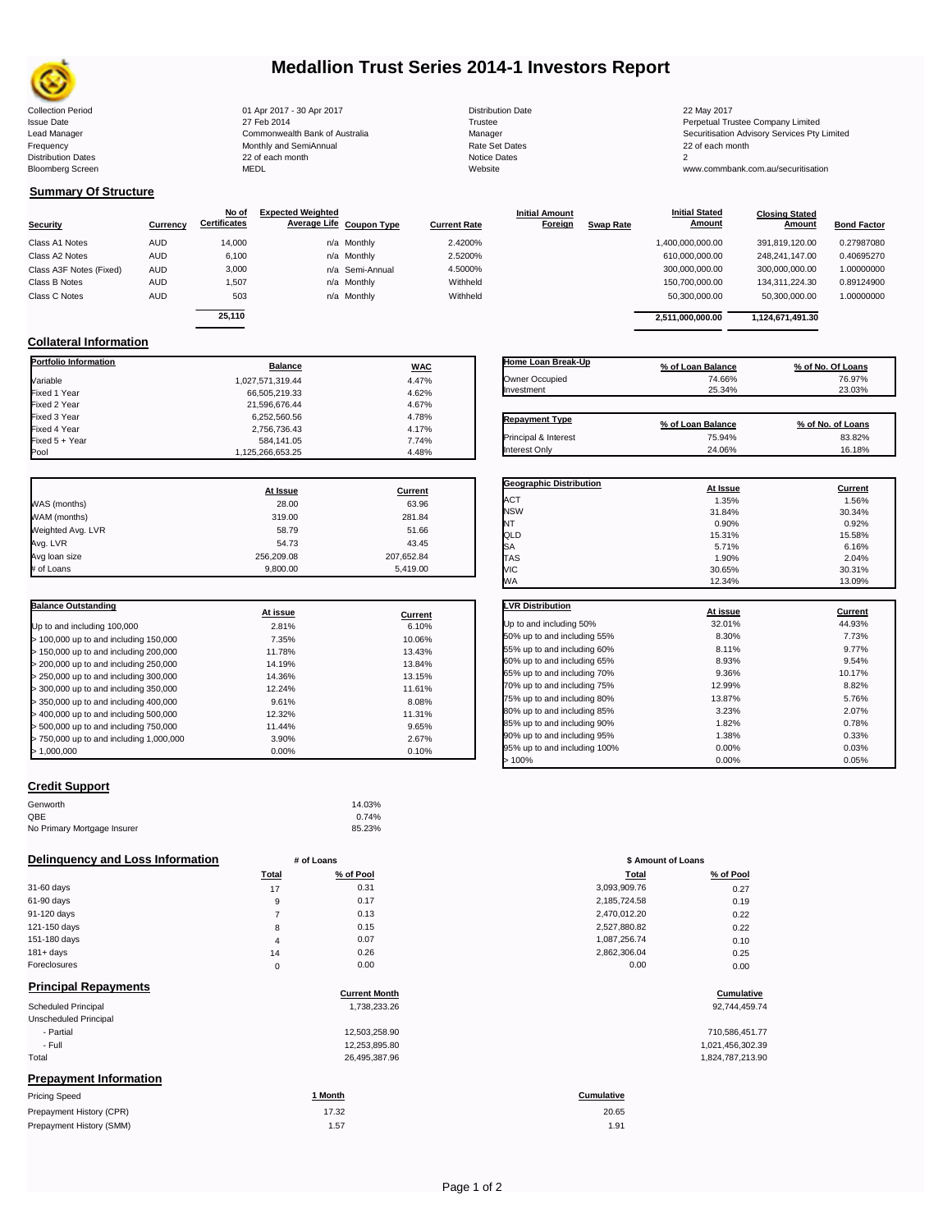

# **Medallion Trust Series 2014-1 Investors Report**

Collection Period 22 May 2017 100 Apr 2017 - 30 Apr 2017 2017 2018 Distribution Date 22 May 2017 Frequency 22 of each month Monthly and SemiAnnual Rate Set Dates 22 of each month 22 of each month 22 of each month<br>Distribution Dates 22 of each month 22 of each month 20 of each month and the Set Dates 20 month 2 Bloomberg Screen MEDL Website www.commbank.com.au/securitisation

| Distribution Da      |
|----------------------|
| Trustee              |
| Manager              |
| <b>Rate Set Date</b> |
| <b>Notice Dates</b>  |
| Website              |

Issue Date 27 Feb 2014 27 Feb 2014<br>Lead Manager Commonwealth Bank of Australia Manager Manager Securitisation Advisory Services Pty Limited

**Closing Stated Amount**

## **Summary Of Structure**

**Collateral Information**

|                         |            | No of               | <b>Expected Weighted</b> |                 |                     | <b>Initial Amount</b> |                  | <b>Initial Stated</b> | <b>Closing Stated</b> |                    |
|-------------------------|------------|---------------------|--------------------------|-----------------|---------------------|-----------------------|------------------|-----------------------|-----------------------|--------------------|
| <b>Security</b>         | Currency   | <b>Certificates</b> | Average Life Coupon Type |                 | <b>Current Rate</b> | <b>Foreign</b>        | <b>Swap Rate</b> | <b>Amount</b>         | Amount                | <b>Bond Factor</b> |
| Class A1 Notes          | <b>AUD</b> | 14.000              |                          | n/a Monthly     | 2.4200%             |                       |                  | 1,400,000,000.00      | 391.819.120.00        | 0.27987080         |
| Class A2 Notes          | <b>AUD</b> | 6,100               |                          | n/a Monthly     | 2.5200%             |                       |                  | 610,000,000.00        | 248.241.147.00        | 0.40695270         |
| Class A3F Notes (Fixed) | <b>AUD</b> | 3,000               |                          | n/a Semi-Annual | 4.5000%             |                       |                  | 300,000,000.00        | 300.000.000.00        | 1.00000000         |
| Class B Notes           | AUD        | 1.507               |                          | n/a Monthly     | Withheld            |                       |                  | 150,700,000.00        | 134.311.224.30        | 0.89124900         |
| Class C Notes           | <b>AUD</b> | 503                 |                          | n/a Monthly     | Withheld            |                       |                  | 50,300,000.00         | 50,300,000.00         | 1.00000000         |
|                         |            | 25.110              |                          |                 |                     |                       |                  |                       |                       |                    |
|                         |            |                     |                          |                 |                     |                       |                  | 2.511.000.000.00      | 1,124,671,491.30      |                    |

**Portfolio Information Balance WAC** Variable 4.47% Fixed 1 Year 66,505,219.33 4.62% Fixed 2 Year 201,596,676.44 21,596,676.44 4.67% 4.67%<br>Fixed 3 Year 21,596,676.56 45 4.78% 4.78% Fixed 3 Year 6,252,560.56 4.78%

Fixed 5 + Year 7.74% 584,141.05 584,141.05<br>1,125,266,653.25 4.48% و900 1,125,266,653.25 4.48%

1,125,266,653.25

| Home Loan Break-Up              | % of Loan Balance | % of No. Of Loans |
|---------------------------------|-------------------|-------------------|
| Owner Occupied                  | 74.66%            | 76.97%            |
| Investment                      | 25.34%            | 23.03%            |
| <b>Repayment Type</b>           | % of Loan Balance | % of No. of Loans |
| <b>Principal &amp; Interest</b> | 75.94%            | 83.82%            |

**Initial Stated** 

|                   | At Issue   | Current    |
|-------------------|------------|------------|
| WAS (months)      | 28.00      | 63.96      |
| WAM (months)      | 319.00     | 281.84     |
| Weighted Avg. LVR | 58.79      | 51.66      |
| Avg. LVR          | 54.73      | 43.45      |
| Avg loan size     | 256.209.08 | 207,652.84 |
| # of Loans        | 9.800.00   | 5.419.00   |

2,756,736.43<br>584,141.05 7.74%

| <b>Balance Outstanding</b>              |          |         |
|-----------------------------------------|----------|---------|
|                                         | At issue | Current |
| Up to and including 100,000             | 2.81%    | 6.10%   |
| $>$ 100,000 up to and including 150,000 | 7.35%    | 10.06%  |
| $>$ 150,000 up to and including 200,000 | 11.78%   | 13.43%  |
| > 200,000 up to and including 250,000   | 14.19%   | 13.84%  |
| > 250,000 up to and including 300,000   | 14.36%   | 13.15%  |
| > 300,000 up to and including 350,000   | 12.24%   | 11.61%  |
| > 350,000 up to and including 400,000   | 9.61%    | 8.08%   |
| > 400,000 up to and including 500,000   | 12.32%   | 11.31%  |
| $>$ 500,000 up to and including 750,000 | 11.44%   | 9.65%   |
| > 750,000 up to and including 1,000,000 | 3.90%    | 2.67%   |
| > 1.000.000                             | 0.00%    | 0.10%   |

## **Credit Support**

Prepayment History (SMM)

| Genworth                    | 14.03% |
|-----------------------------|--------|
| QBE                         | 0.74%  |
| No Primary Mortgage Insurer | 85.23% |

### **Delinquency and Loss Information # of Loans**

| .<br>_____   |                |           |              |           |
|--------------|----------------|-----------|--------------|-----------|
|              | <b>Total</b>   | % of Pool | Total        | % of Pool |
| 31-60 days   | 17             | 0.31      | 3,093,909.76 | 0.27      |
| 61-90 days   | 9              | 0.17      | 2,185,724.58 | 0.19      |
| 91-120 days  |                | 0.13      | 2,470,012.20 | 0.22      |
| 121-150 days | 8              | 0.15      | 2,527,880.82 | 0.22      |
| 151-180 days | $\overline{4}$ | 0.07      | 1,087,256.74 | 0.10      |
| $181 + days$ | 14             | 0.26      | 2,862,306.04 | 0.25      |
| Foreclosures | 0              | 0.00      | 0.00         | 0.00      |
| _ _ _ _ _    |                |           |              |           |

| <b>Principal Repayments</b>   | <b>Current Month</b> | Cumulative        |
|-------------------------------|----------------------|-------------------|
| Scheduled Principal           | 1,738,233.26         | 92,744,459.74     |
| Unscheduled Principal         |                      |                   |
| - Partial                     | 12,503,258.90        | 710,586,451.77    |
| - Full                        | 12,253,895.80        | 1,021,456,302.39  |
| Total                         | 26,495,387.96        | 1,824,787,213.90  |
| <b>Prepayment Information</b> |                      |                   |
| <b>Pricing Speed</b>          | 1 Month              | <b>Cumulative</b> |
| Prepayment History (CPR)      | 17.32                | 20.65             |

| % of No. of Loans<br>% of Loan Balance<br>83.82%<br>75.94%<br>Interest Only<br>24.06%<br>16.18% | <b>Geographic Distribution</b> | At Issue  | Current |
|-------------------------------------------------------------------------------------------------|--------------------------------|-----------|---------|
|                                                                                                 |                                |           |         |
|                                                                                                 | Principal & Interest           |           |         |
|                                                                                                 | <b>Repayment Type</b>          |           |         |
| Investment<br>25.34%<br>23.03%                                                                  | Owner Occupied                 | $14.00\%$ | 10.91%  |

|            | At issue | <u>Current</u> |
|------------|----------|----------------|
| <b>ACT</b> | 1.35%    | 1.56%          |
| <b>NSW</b> | 31.84%   | 30.34%         |
| NT         | 0.90%    | 0.92%          |
| QLD        | 15.31%   | 15.58%         |
| <b>SA</b>  | 5.71%    | 6.16%          |
| <b>TAS</b> | 1.90%    | 2.04%          |
| VIC        | 30.65%   | 30.31%         |
| WA         | 12.34%   | 13.09%         |
|            |          |                |

| <b>LVR Distribution</b>      | At issue | <b>Current</b> |
|------------------------------|----------|----------------|
| Up to and including 50%      | 32.01%   | 44.93%         |
| 50% up to and including 55%  | 8.30%    | 7.73%          |
| 55% up to and including 60%  | 8.11%    | 9.77%          |
| 60% up to and including 65%  | 8.93%    | 9.54%          |
| 65% up to and including 70%  | 9.36%    | 10.17%         |
| 70% up to and including 75%  | 12.99%   | 8.82%          |
| 75% up to and including 80%  | 13.87%   | 5.76%          |
| 80% up to and including 85%  | 3.23%    | 2.07%          |
| 85% up to and including 90%  | 1.82%    | 0.78%          |
| 90% up to and including 95%  | 1.38%    | 0.33%          |
| 95% up to and including 100% | 0.00%    | 0.03%          |
| 100%                         | 0.00%    | 0.05%          |

| # of Loans |           | \$ Amount of Loans |           |
|------------|-----------|--------------------|-----------|
| Total      | % of Pool | Total              | % of Pool |
| 17         | 0.31      | 3,093,909.76       | 0.27      |
| 9          | 0.17      | 2,185,724.58       | 0.19      |
| 7          | 0.13      | 2,470,012.20       | 0.22      |
| 8          | 0.15      | 2,527,880.82       | 0.22      |
| 4          | 0.07      | 1,087,256.74       | 0.10      |
| 14         | 0.26      | 2,862,306.04       | 0.25      |
| 0          | 0.00      | 0.00               | 0.00      |

# **Current Month Cumulative**

| 710,586,451.77   |
|------------------|
| 1,021,456,302.39 |
| 1.824.787.213.90 |

# 20.65

1.57 1.91